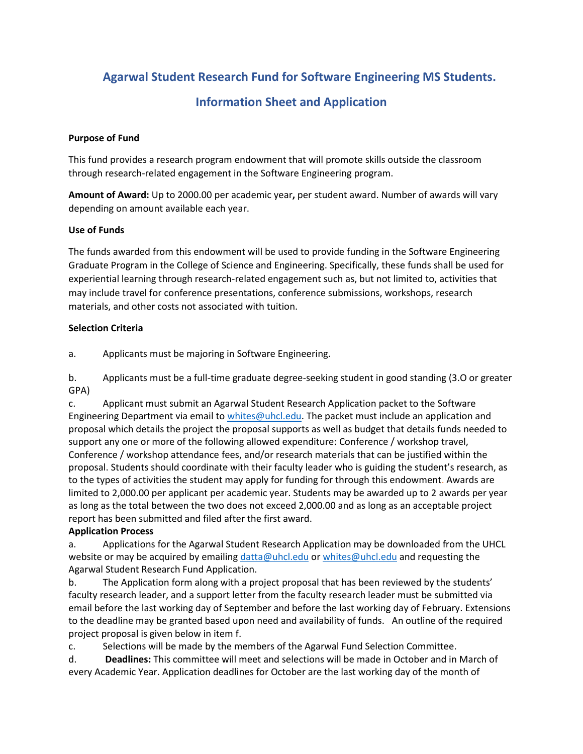**Agarwal Student Research Fund for Software Engineering MS Students.**

# **Information Sheet and Application**

### **Purpose of Fund**

This fund provides a research program endowment that will promote skills outside the classroom through research-related engagement in the Software Engineering program.

**Amount of Award:** Up to 2000.00 per academic year**,** per student award. Number of awards will vary depending on amount available each year.

#### **Use of Funds**

The funds awarded from this endowment will be used to provide funding in the Software Engineering Graduate Program in the College of Science and Engineering. Specifically, these funds shall be used for experiential learning through research-related engagement such as, but not limited to, activities that may include travel for conference presentations, conference submissions, workshops, research materials, and other costs not associated with tuition.

#### **Selection Criteria**

a. Applicants must be majoring in Software Engineering.

b. Applicants must be a full-time graduate degree-seeking student in good standing (3.O or greater GPA)

c. Applicant must submit an Agarwal Student Research Application packet to the Software Engineering Department via email t[o whites@uhcl.edu.](mailto:whites@uhcl.edu) The packet must include an application and proposal which details the project the proposal supports as well as budget that details funds needed to support any one or more of the following allowed expenditure: Conference / workshop travel, Conference / workshop attendance fees, and/or research materials that can be justified within the proposal. Students should coordinate with their faculty leader who is guiding the student's research, as to the types of activities the student may apply for funding for through this endowment. Awards are limited to 2,000.00 per applicant per academic year. Students may be awarded up to 2 awards per year as long as the total between the two does not exceed 2,000.00 and as long as an acceptable project report has been submitted and filed after the first award.

### **Application Process**

a. Applications for the Agarwal Student Research Application may be downloaded from the UHCL website or may be acquired by emailing [datta@uhcl.edu](mailto:datta@uhcl.edu) or [whites@uhcl.edu](mailto:whites@uhcl.edu) and requesting the Agarwal Student Research Fund Application.

b. The Application form along with a project proposal that has been reviewed by the students' faculty research leader, and a support letter from the faculty research leader must be submitted via email before the last working day of September and before the last working day of February. Extensions to the deadline may be granted based upon need and availability of funds. An outline of the required project proposal is given below in item f.

c. Selections will be made by the members of the Agarwal Fund Selection Committee.

d. **Deadlines:** This committee will meet and selections will be made in October and in March of every Academic Year. Application deadlines for October are the last working day of the month of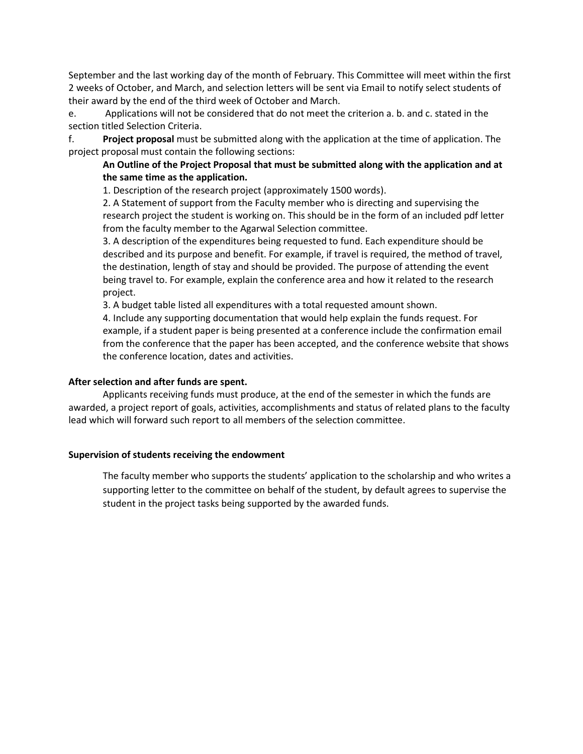September and the last working day of the month of February. This Committee will meet within the first 2 weeks of October, and March, and selection letters will be sent via Email to notify select students of their award by the end of the third week of October and March.

e. Applications will not be considered that do not meet the criterion a. b. and c. stated in the section titled Selection Criteria.

f. **Project proposal** must be submitted along with the application at the time of application. The project proposal must contain the following sections:

#### **An Outline of the Project Proposal that must be submitted along with the application and at the same time as the application.**

1. Description of the research project (approximately 1500 words).

2. A Statement of support from the Faculty member who is directing and supervising the research project the student is working on. This should be in the form of an included pdf letter from the faculty member to the Agarwal Selection committee.

3. A description of the expenditures being requested to fund. Each expenditure should be described and its purpose and benefit. For example, if travel is required, the method of travel, the destination, length of stay and should be provided. The purpose of attending the event being travel to. For example, explain the conference area and how it related to the research project.

3. A budget table listed all expenditures with a total requested amount shown.

4. Include any supporting documentation that would help explain the funds request. For example, if a student paper is being presented at a conference include the confirmation email from the conference that the paper has been accepted, and the conference website that shows the conference location, dates and activities.

#### **After selection and after funds are spent.**

Applicants receiving funds must produce, at the end of the semester in which the funds are awarded, a project report of goals, activities, accomplishments and status of related plans to the faculty lead which will forward such report to all members of the selection committee.

#### **Supervision of students receiving the endowment**

The faculty member who supports the students' application to the scholarship and who writes a supporting letter to the committee on behalf of the student, by default agrees to supervise the student in the project tasks being supported by the awarded funds.